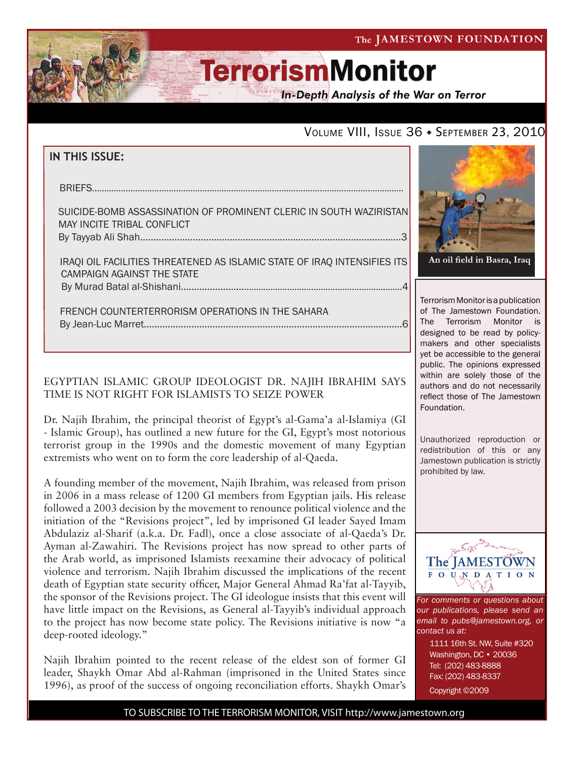The JAMESTOWN FOUNDATION



# **TerrorismMonitor**

**In-Depth Analysis of the War on Terror** 

### VOLUME VIII, ISSUE 36 · SEPTEMBER 23, 2010

### **IN THIS ISSUE:**

| AULAIRE RAMB AGAAQIMATION AF RRAMINIENT ALERIA IN AQUTU WATIRIATANI |
|---------------------------------------------------------------------|

 suicide-bomb assassination of prominent cleric in south waziristan may incite tribal conflict By Tayyab Ali Shah...................................................................................................3

 iraqi oil facilities threatened as islamic state of iraq intensifies its campaign against the state by Murad Batal al-Shishani..........................................................................................4

 french counterterrorism operations in the sahara By Jean-Luc Marret..................................................................................................6

#### EGYPTIAN ISLAMIC GROUP IDEOLOGIST DR. NAJIH IBRAHIM SAYS TIME IS NOT RIGHT FOR ISLAMISTS TO SEIZE POWER

Dr. Najih Ibrahim, the principal theorist of Egypt's al-Gama'a al-Islamiya (GI - Islamic Group), has outlined a new future for the GI, Egypt's most notorious terrorist group in the 1990s and the domestic movement of many Egyptian extremists who went on to form the core leadership of al-Qaeda.

A founding member of the movement, Najih Ibrahim, was released from prison in 2006 in a mass release of 1200 GI members from Egyptian jails. His release followed a 2003 decision by the movement to renounce political violence and the initiation of the "Revisions project", led by imprisoned GI leader Sayed Imam Abdulaziz al-Sharif (a.k.a. Dr. Fadl), once a close associate of al-Qaeda's Dr. Ayman al-Zawahiri. The Revisions project has now spread to other parts of the Arab world, as imprisoned Islamists reexamine their advocacy of political violence and terrorism. Najih Ibrahim discussed the implications of the recent death of Egyptian state security officer, Major General Ahmad Ra'fat al-Tayyib, the sponsor of the Revisions project. The GI ideologue insists that this event will have little impact on the Revisions, as General al-Tayyib's individual approach to the project has now become state policy. The Revisions initiative is now "a deep-rooted ideology."

Najih Ibrahim pointed to the recent release of the eldest son of former GI leader, Shaykh Omar Abd al-Rahman (imprisoned in the United States since 1996), as proof of the success of ongoing reconciliation efforts. Shaykh Omar's



Terrorism Monitor is a publication of The Jamestown Foundation. The Terrorism Monitor is designed to be read by policymakers and other specialists yet be accessible to the general public. The opinions expressed within are solely those of the authors and do not necessarily reflect those of The Jamestown Foundation.

Unauthorized reproduction or redistribution of this or any Jamestown publication is strictly prohibited by law.



*For comments or questions about our publications, please send an email to pubs@jamestown.org, or contact us at:* 

> 1111 16th St. NW, Suite #320 Washington, DC • 20036 Tel: (202) 483-8888 Fax: (202) 483-8337 Copyright ©2009

TO SUBSCRIBE TO THE TERRORISM MONITOR, VISIT http://www.jamestown.org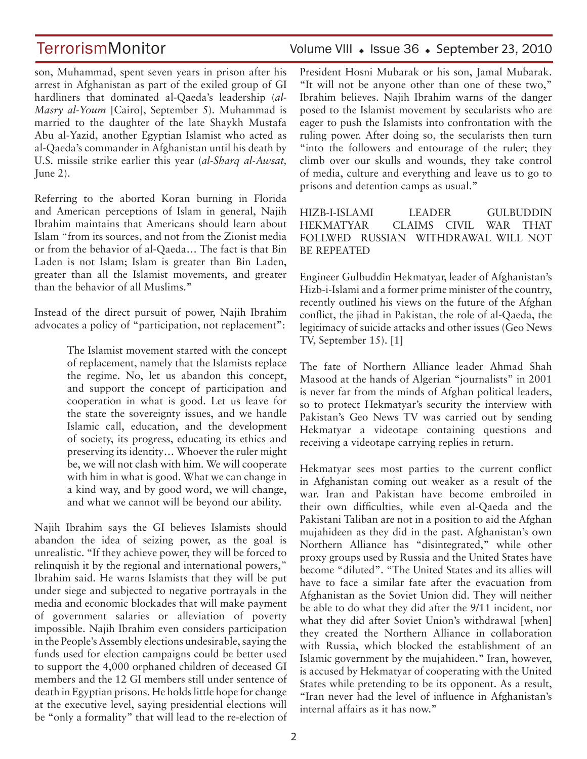TerrorismMonitor Volume VIII • Issue 36 • September 23, 2010

son, Muhammad, spent seven years in prison after his arrest in Afghanistan as part of the exiled group of GI hardliners that dominated al-Qaeda's leadership (*al-Masry al-Youm* [Cairo], September 5). Muhammad is married to the daughter of the late Shaykh Mustafa Abu al-Yazid, another Egyptian Islamist who acted as al-Qaeda's commander in Afghanistan until his death by U.S. missile strike earlier this year (*al-Sharq al-Awsat,*  June 2).

Referring to the aborted Koran burning in Florida and American perceptions of Islam in general, Najih Ibrahim maintains that Americans should learn about Islam "from its sources, and not from the Zionist media or from the behavior of al-Qaeda… The fact is that Bin Laden is not Islam; Islam is greater than Bin Laden, greater than all the Islamist movements, and greater than the behavior of all Muslims."

Instead of the direct pursuit of power, Najih Ibrahim advocates a policy of "participation, not replacement":

> The Islamist movement started with the concept of replacement, namely that the Islamists replace the regime. No, let us abandon this concept, and support the concept of participation and cooperation in what is good. Let us leave for the state the sovereignty issues, and we handle Islamic call, education, and the development of society, its progress, educating its ethics and preserving its identity… Whoever the ruler might be, we will not clash with him. We will cooperate with him in what is good. What we can change in a kind way, and by good word, we will change, and what we cannot will be beyond our ability.

Najih Ibrahim says the GI believes Islamists should abandon the idea of seizing power, as the goal is unrealistic. "If they achieve power, they will be forced to relinquish it by the regional and international powers," Ibrahim said. He warns Islamists that they will be put under siege and subjected to negative portrayals in the media and economic blockades that will make payment of government salaries or alleviation of poverty impossible. Najih Ibrahim even considers participation in the People's Assembly elections undesirable, saying the funds used for election campaigns could be better used to support the 4,000 orphaned children of deceased GI members and the 12 GI members still under sentence of death in Egyptian prisons. He holds little hope for change at the executive level, saying presidential elections will be "only a formality" that will lead to the re-election of

President Hosni Mubarak or his son, Jamal Mubarak. "It will not be anyone other than one of these two," Ibrahim believes. Najih Ibrahim warns of the danger posed to the Islamist movement by secularists who are eager to push the Islamists into confrontation with the ruling power. After doing so, the secularists then turn "into the followers and entourage of the ruler; they climb over our skulls and wounds, they take control of media, culture and everything and leave us to go to prisons and detention camps as usual."

HIZB-I-ISLAMI LEADER GULBUDDIN HEKMATYAR CLAIMS CIVIL WAR THAT FOLLWED RUSSIAN WITHDRAWAL WILL NOT BE REPEATED

Engineer Gulbuddin Hekmatyar, leader of Afghanistan's Hizb-i-Islami and a former prime minister of the country, recently outlined his views on the future of the Afghan conflict, the jihad in Pakistan, the role of al-Qaeda, the legitimacy of suicide attacks and other issues (Geo News TV, September 15). [1]

The fate of Northern Alliance leader Ahmad Shah Masood at the hands of Algerian "journalists" in 2001 is never far from the minds of Afghan political leaders, so to protect Hekmatyar's security the interview with Pakistan's Geo News TV was carried out by sending Hekmatyar a videotape containing questions and receiving a videotape carrying replies in return.

Hekmatyar sees most parties to the current conflict in Afghanistan coming out weaker as a result of the war. Iran and Pakistan have become embroiled in their own difficulties, while even al-Qaeda and the Pakistani Taliban are not in a position to aid the Afghan mujahideen as they did in the past. Afghanistan's own Northern Alliance has "disintegrated," while other proxy groups used by Russia and the United States have become "diluted". "The United States and its allies will have to face a similar fate after the evacuation from Afghanistan as the Soviet Union did. They will neither be able to do what they did after the 9/11 incident, nor what they did after Soviet Union's withdrawal [when] they created the Northern Alliance in collaboration with Russia, which blocked the establishment of an Islamic government by the mujahideen." Iran, however, is accused by Hekmatyar of cooperating with the United States while pretending to be its opponent. As a result, "Iran never had the level of influence in Afghanistan's internal affairs as it has now."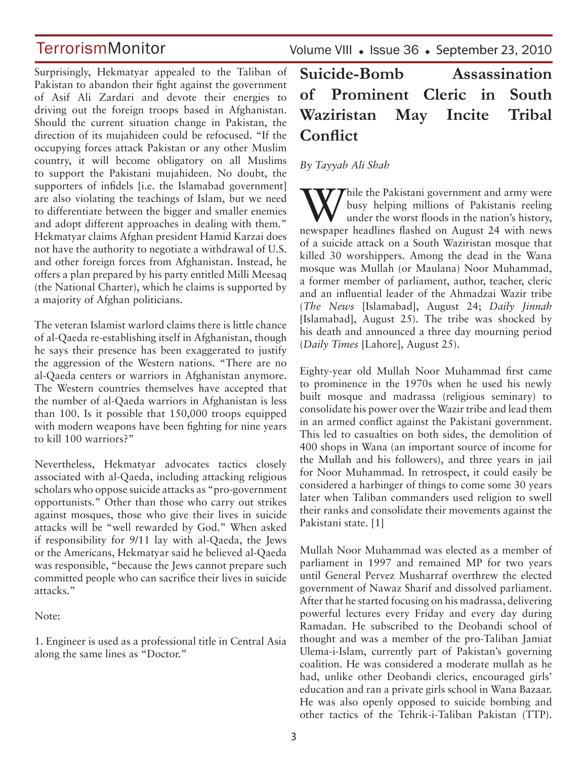## **TerrorismMonitor**

Surprisingly, Hekmatyar appealed to the Taliban of Pakistan to abandon their fight against the government of Asif Ali Zardari and devote their energies to driving out the foreign troops based in Afghanistan. Should the current situation change in Pakistan, the direction of its mujahideen could be refocused. "If the occupying forces attack Pakistan or any other Muslim country, it will become obligatory on all Muslims to support the Pakistani mujahideen. No doubt, the supporters of infidels [i.e. the Islamabad government] are also violating the teachings of Islam, but we need to differentiate between the bigger and smaller enemies and adopt different approaches in dealing with them." Hekmatyar claims Afghan president Hamid Karzai does not have the authority to negotiate a withdrawal of U.S. and other foreign forces from Afghanistan. Instead, he offers a plan prepared by his party entitled Milli Meesaq (the National Charter), which he claims is supported by a majority of Afghan politicians.

The veteran Islamist warlord claims there is little chance of al-Qaeda re-establishing itself in Afghanistan, though he says their presence has been exaggerated to justify the aggression of the Western nations. "There are no al-Qaeda centers or warriors in Afghanistan anymore. The Western countries themselves have accepted that the number of al-Qaeda warriors in Afghanistan is less than 100. Is it possible that 150,000 troops equipped with modern weapons have been fighting for nine years to kill 100 warriors?"

Nevertheless, Hekmatyar advocates tactics closely associated with al-Qaeda, including attacking religious scholars who oppose suicide attacks as "pro-government opportunists." Other than those who carry out strikes against mosques, those who give their lives in suicide attacks will be "well rewarded by God." When asked if responsibility for 9/11 lay with al-Qaeda, the Jews or the Americans, Hekmatyar said he believed al-Qaeda was responsible, "because the Jews cannot prepare such committed people who can sacrifice their lives in suicide attacks."

#### Note:

1. Engineer is used as a professional title in Central Asia along the same lines as "Doctor."

Volume VIII · Issue 36 · September 23, 2010

## **Suicide-Bomb Assassination of Prominent Cleric in South Waziristan May Incite Tribal Conflict**

*By Tayyab Ali Shah* 

While the Pakistani government and army were<br>busy helping millions of Pakistanis reeling<br>under the worst floods in the nation's history, busy helping millions of Pakistanis reeling under the worst floods in the nation's history, newspaper headlines flashed on August 24 with news of a suicide attack on a South Waziristan mosque that killed 30 worshippers. Among the dead in the Wana mosque was Mullah (or Maulana) Noor Muhammad, a former member of parliament, author, teacher, cleric and an influential leader of the Ahmadzai Wazir tribe (*The News* [Islamabad], August 24; *Daily Jinnah*  [Islamabad], August 25). The tribe was shocked by his death and announced a three day mourning period (*Daily Times* [Lahore], August 25).

Eighty-year old Mullah Noor Muhammad first came to prominence in the 1970s when he used his newly built mosque and madrassa (religious seminary) to consolidate his power over the Wazir tribe and lead them in an armed conflict against the Pakistani government. This led to casualties on both sides, the demolition of 400 shops in Wana (an important source of income for the Mullah and his followers), and three years in jail for Noor Muhammad. In retrospect, it could easily be considered a harbinger of things to come some 30 years later when Taliban commanders used religion to swell their ranks and consolidate their movements against the Pakistani state. [1]

Mullah Noor Muhammad was elected as a member of parliament in 1997 and remained MP for two years until General Pervez Musharraf overthrew the elected government of Nawaz Sharif and dissolved parliament. After that he started focusing on his madrassa, delivering powerful lectures every Friday and every day during Ramadan. He subscribed to the Deobandi school of thought and was a member of the pro-Taliban Jamiat Ulema-i-Islam, currently part of Pakistan's governing coalition. He was considered a moderate mullah as he had, unlike other Deobandi clerics, encouraged girls' education and ran a private girls school in Wana Bazaar. He was also openly opposed to suicide bombing and other tactics of the Tehrik-i-Taliban Pakistan (TTP).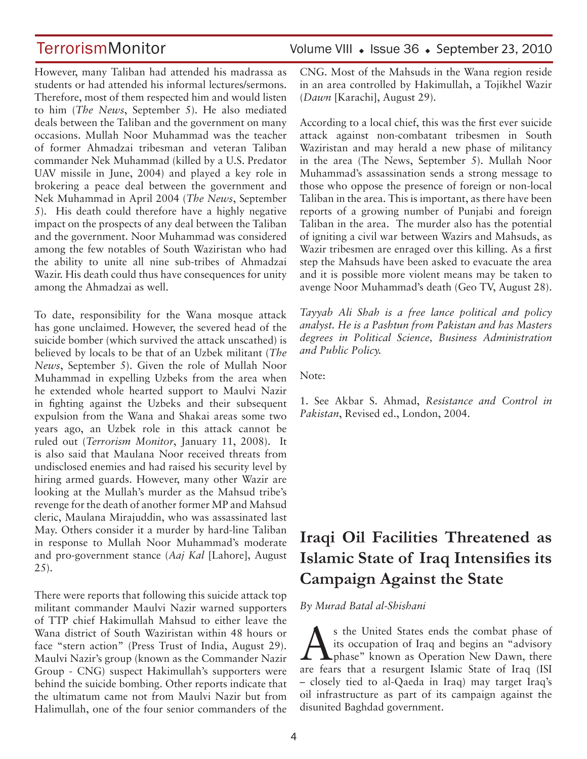However, many Taliban had attended his madrassa as students or had attended his informal lectures/sermons. Therefore, most of them respected him and would listen to him (*The News*, September 5). He also mediated deals between the Taliban and the government on many occasions. Mullah Noor Muhammad was the teacher of former Ahmadzai tribesman and veteran Taliban commander Nek Muhammad (killed by a U.S. Predator UAV missile in June, 2004) and played a key role in brokering a peace deal between the government and Nek Muhammad in April 2004 (*The News*, September 5). His death could therefore have a highly negative impact on the prospects of any deal between the Taliban and the government. Noor Muhammad was considered among the few notables of South Waziristan who had the ability to unite all nine sub-tribes of Ahmadzai Wazir. His death could thus have consequences for unity among the Ahmadzai as well.

To date, responsibility for the Wana mosque attack has gone unclaimed. However, the severed head of the suicide bomber (which survived the attack unscathed) is believed by locals to be that of an Uzbek militant (*The News*, September 5). Given the role of Mullah Noor Muhammad in expelling Uzbeks from the area when he extended whole hearted support to Maulvi Nazir in fighting against the Uzbeks and their subsequent expulsion from the Wana and Shakai areas some two years ago, an Uzbek role in this attack cannot be ruled out (*Terrorism Monitor*, January 11, 2008). It is also said that Maulana Noor received threats from undisclosed enemies and had raised his security level by hiring armed guards. However, many other Wazir are looking at the Mullah's murder as the Mahsud tribe's revenge for the death of another former MP and Mahsud cleric, Maulana Mirajuddin, who was assassinated last May. Others consider it a murder by hard-line Taliban in response to Mullah Noor Muhammad's moderate and pro-government stance (*Aaj Kal* [Lahore], August 25).

There were reports that following this suicide attack top militant commander Maulvi Nazir warned supporters of TTP chief Hakimullah Mahsud to either leave the Wana district of South Waziristan within 48 hours or face "stern action" (Press Trust of India, August 29). Maulvi Nazir's group (known as the Commander Nazir Group - CNG) suspect Hakimullah's supporters were behind the suicide bombing. Other reports indicate that the ultimatum came not from Maulvi Nazir but from Halimullah, one of the four senior commanders of the

### TerrorismMonitor Volume VIII • Issue 36 • September 23, 2010

CNG. Most of the Mahsuds in the Wana region reside in an area controlled by Hakimullah, a Tojikhel Wazir (*Dawn* [Karachi], August 29).

According to a local chief, this was the first ever suicide attack against non-combatant tribesmen in South Waziristan and may herald a new phase of militancy in the area (The News, September 5). Mullah Noor Muhammad's assassination sends a strong message to those who oppose the presence of foreign or non-local Taliban in the area. This is important, as there have been reports of a growing number of Punjabi and foreign Taliban in the area. The murder also has the potential of igniting a civil war between Wazirs and Mahsuds, as Wazir tribesmen are enraged over this killing. As a first step the Mahsuds have been asked to evacuate the area and it is possible more violent means may be taken to avenge Noor Muhammad's death (Geo TV, August 28).

*Tayyab Ali Shah is a free lance political and policy analyst. He is a Pashtun from Pakistan and has Masters degrees in Political Science, Business Administration and Public Policy.*

Note:

1. See Akbar S. Ahmad, *Resistance and Control in Pakistan*, Revised ed., London, 2004.

## **Iraqi Oil Facilities Threatened as Islamic State of Iraq Intensifies its Campaign Against the State**

*By Murad Batal al-Shishani*

As the United States ends the combat phase of<br>tis occupation of Iraq and begins an "advisory<br>phase" known as Operation New Dawn, there its occupation of Iraq and begins an "advisory phase" known as Operation New Dawn, there are fears that a resurgent Islamic State of Iraq (ISI – closely tied to al-Qaeda in Iraq) may target Iraq's oil infrastructure as part of its campaign against the disunited Baghdad government.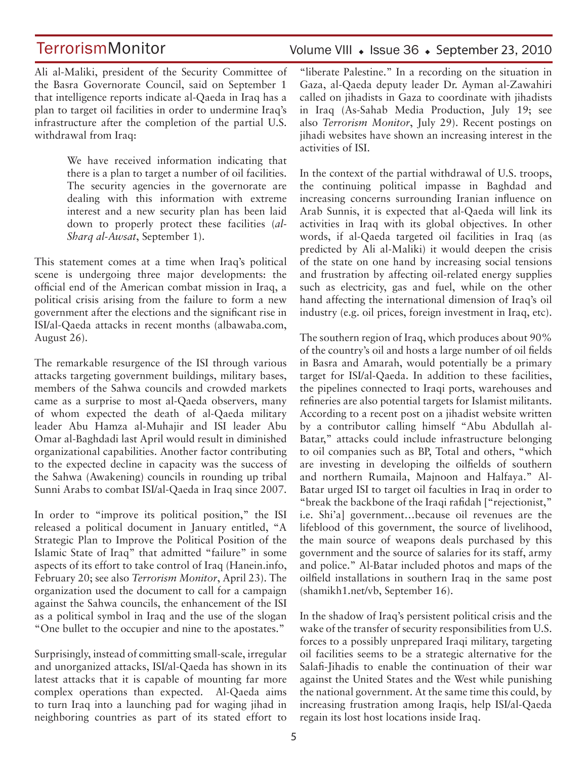## **TerrorismMonitor**

Volume VIII · Issue 36 · September 23, 2010

Ali al-Maliki, president of the Security Committee of the Basra Governorate Council, said on September 1 that intelligence reports indicate al-Qaeda in Iraq has a plan to target oil facilities in order to undermine Iraq's infrastructure after the completion of the partial U.S. withdrawal from Iraq:

> We have received information indicating that there is a plan to target a number of oil facilities. The security agencies in the governorate are dealing with this information with extreme interest and a new security plan has been laid down to properly protect these facilities (*al-Sharq al-Awsat*, September 1).

This statement comes at a time when Iraq's political scene is undergoing three major developments: the official end of the American combat mission in Iraq, a political crisis arising from the failure to form a new government after the elections and the significant rise in ISI/al-Qaeda attacks in recent months (albawaba.com, August 26).

The remarkable resurgence of the ISI through various attacks targeting government buildings, military bases, members of the Sahwa councils and crowded markets came as a surprise to most al-Qaeda observers, many of whom expected the death of al-Qaeda military leader Abu Hamza al-Muhajir and ISI leader Abu Omar al-Baghdadi last April would result in diminished organizational capabilities. Another factor contributing to the expected decline in capacity was the success of the Sahwa (Awakening) councils in rounding up tribal Sunni Arabs to combat ISI/al-Qaeda in Iraq since 2007.

In order to "improve its political position," the ISI released a political document in January entitled, "A Strategic Plan to Improve the Political Position of the Islamic State of Iraq" that admitted "failure" in some aspects of its effort to take control of Iraq (Hanein.info, February 20; see also *Terrorism Monitor*, April 23). The organization used the document to call for a campaign against the Sahwa councils, the enhancement of the ISI as a political symbol in Iraq and the use of the slogan "One bullet to the occupier and nine to the apostates."

Surprisingly, instead of committing small-scale, irregular and unorganized attacks, ISI/al-Qaeda has shown in its latest attacks that it is capable of mounting far more complex operations than expected. Al-Qaeda aims to turn Iraq into a launching pad for waging jihad in neighboring countries as part of its stated effort to "liberate Palestine." In a recording on the situation in Gaza, al-Qaeda deputy leader Dr. Ayman al-Zawahiri called on jihadists in Gaza to coordinate with jihadists in Iraq (As-Sahab Media Production, July 19; see also *Terrorism Monitor*, July 29). Recent postings on jihadi websites have shown an increasing interest in the activities of ISI.

In the context of the partial withdrawal of U.S. troops, the continuing political impasse in Baghdad and increasing concerns surrounding Iranian influence on Arab Sunnis, it is expected that al-Qaeda will link its activities in Iraq with its global objectives. In other words, if al-Qaeda targeted oil facilities in Iraq (as predicted by Ali al-Maliki) it would deepen the crisis of the state on one hand by increasing social tensions and frustration by affecting oil-related energy supplies such as electricity, gas and fuel, while on the other hand affecting the international dimension of Iraq's oil industry (e.g. oil prices, foreign investment in Iraq, etc).

The southern region of Iraq, which produces about 90% of the country's oil and hosts a large number of oil fields in Basra and Amarah, would potentially be a primary target for ISI/al-Qaeda. In addition to these facilities, the pipelines connected to Iraqi ports, warehouses and refineries are also potential targets for Islamist militants. According to a recent post on a jihadist website written by a contributor calling himself "Abu Abdullah al-Batar," attacks could include infrastructure belonging to oil companies such as BP, Total and others, "which are investing in developing the oilfields of southern and northern Rumaila, Majnoon and Halfaya." Al-Batar urged ISI to target oil faculties in Iraq in order to "break the backbone of the Iraqi rafidah ["rejectionist," i.e. Shi'a] government…because oil revenues are the lifeblood of this government, the source of livelihood, the main source of weapons deals purchased by this government and the source of salaries for its staff, army and police." Al-Batar included photos and maps of the oilfield installations in southern Iraq in the same post (shamikh1.net/vb, September 16).

In the shadow of Iraq's persistent political crisis and the wake of the transfer of security responsibilities from U.S. forces to a possibly unprepared Iraqi military, targeting oil facilities seems to be a strategic alternative for the Salafi-Jihadis to enable the continuation of their war against the United States and the West while punishing the national government. At the same time this could, by increasing frustration among Iraqis, help ISI/al-Qaeda regain its lost host locations inside Iraq.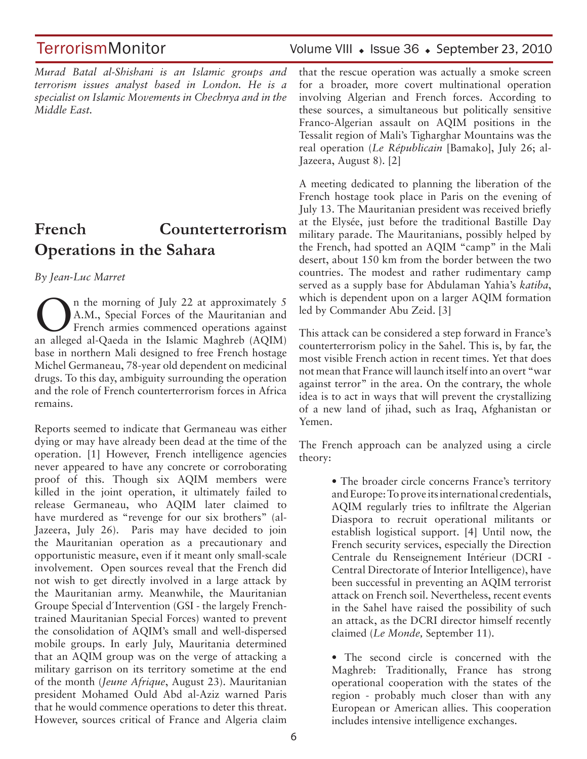*Murad Batal al-Shishani is an Islamic groups and terrorism issues analyst based in London. He is a specialist on Islamic Movements in Chechnya and in the Middle East.*

## **French Counterterrorism Operations in the Sahara**

*By Jean-Luc Marret* 

On the morning of July 22 at approximately 5<br>A.M., Special Forces of the Mauritanian and<br>French armies commenced operations against A.M., Special Forces of the Mauritanian and French armies commenced operations against an alleged al-Qaeda in the Islamic Maghreb (AQIM) base in northern Mali designed to free French hostage Michel Germaneau, 78-year old dependent on medicinal drugs. To this day, ambiguity surrounding the operation and the role of French counterterrorism forces in Africa remains.

Reports seemed to indicate that Germaneau was either dying or may have already been dead at the time of the operation. [1] However, French intelligence agencies never appeared to have any concrete or corroborating proof of this. Though six AQIM members were killed in the joint operation, it ultimately failed to release Germaneau, who AQIM later claimed to have murdered as "revenge for our six brothers" (al-Jazeera, July 26). Paris may have decided to join the Mauritanian operation as a precautionary and opportunistic measure, even if it meant only small-scale involvement. Open sources reveal that the French did not wish to get directly involved in a large attack by the Mauritanian army. Meanwhile, the Mauritanian Groupe Special d´Intervention (GSI - the largely Frenchtrained Mauritanian Special Forces) wanted to prevent the consolidation of AQIM's small and well-dispersed mobile groups. In early July, Mauritania determined that an AQIM group was on the verge of attacking a military garrison on its territory sometime at the end of the month (*Jeune Afrique*, August 23). Mauritanian president Mohamed Ould Abd al-Aziz warned Paris that he would commence operations to deter this threat. However, sources critical of France and Algeria claim

### TerrorismMonitor Volume VIII • Issue 36 • September 23, 2010

that the rescue operation was actually a smoke screen for a broader, more covert multinational operation involving Algerian and French forces. According to these sources, a simultaneous but politically sensitive Franco-Algerian assault on AQIM positions in the Tessalit region of Mali's Tigharghar Mountains was the real operation (*Le Républicain* [Bamako], July 26; al-Jazeera, August 8). [2]

A meeting dedicated to planning the liberation of the French hostage took place in Paris on the evening of July 13. The Mauritanian president was received briefly at the Elysée, just before the traditional Bastille Day military parade. The Mauritanians, possibly helped by the French, had spotted an AQIM "camp" in the Mali desert, about 150 km from the border between the two countries. The modest and rather rudimentary camp served as a supply base for Abdulaman Yahia's *katiba*, which is dependent upon on a larger AQIM formation led by Commander Abu Zeid. [3]

This attack can be considered a step forward in France's counterterrorism policy in the Sahel. This is, by far, the most visible French action in recent times. Yet that does not mean that France will launch itself into an overt "war against terror" in the area. On the contrary, the whole idea is to act in ways that will prevent the crystallizing of a new land of jihad, such as Iraq, Afghanistan or Yemen.

The French approach can be analyzed using a circle theory:

> • The broader circle concerns France's territory and Europe: To prove its international credentials, AQIM regularly tries to infiltrate the Algerian Diaspora to recruit operational militants or establish logistical support. [4] Until now, the French security services, especially the Direction Centrale du Renseignement Intérieur (DCRI - Central Directorate of Interior Intelligence), have been successful in preventing an AQIM terrorist attack on French soil. Nevertheless, recent events in the Sahel have raised the possibility of such an attack, as the DCRI director himself recently claimed (*Le Monde,* September 11).

> • The second circle is concerned with the Maghreb: Traditionally, France has strong operational cooperation with the states of the region - probably much closer than with any European or American allies. This cooperation includes intensive intelligence exchanges.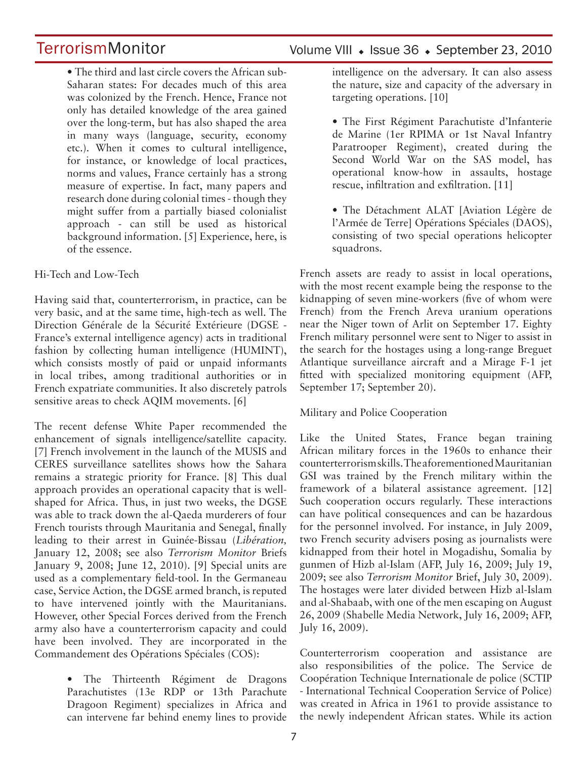## **TerrorismMonitor**

• The third and last circle covers the African sub-Saharan states: For decades much of this area was colonized by the French. Hence, France not only has detailed knowledge of the area gained over the long-term, but has also shaped the area in many ways (language, security, economy etc.). When it comes to cultural intelligence, for instance, or knowledge of local practices, norms and values, France certainly has a strong measure of expertise. In fact, many papers and research done during colonial times - though they might suffer from a partially biased colonialist approach - can still be used as historical background information. [5] Experience, here, is of the essence.

#### Hi-Tech and Low-Tech

Having said that, counterterrorism, in practice, can be very basic, and at the same time, high-tech as well. The Direction Générale de la Sécurité Extérieure (DGSE - France's external intelligence agency) acts in traditional fashion by collecting human intelligence (HUMINT), which consists mostly of paid or unpaid informants in local tribes, among traditional authorities or in French expatriate communities. It also discretely patrols sensitive areas to check AQIM movements. [6]

The recent defense White Paper recommended the enhancement of signals intelligence/satellite capacity. [7] French involvement in the launch of the MUSIS and CERES surveillance satellites shows how the Sahara remains a strategic priority for France. [8] This dual approach provides an operational capacity that is wellshaped for Africa. Thus, in just two weeks, the DGSE was able to track down the al-Qaeda murderers of four French tourists through Mauritania and Senegal, finally leading to their arrest in Guinée-Bissau (*Libération,*  January 12, 2008; see also *Terrorism Monitor* Briefs January 9, 2008; June 12, 2010). [9] Special units are used as a complementary field-tool. In the Germaneau case, Service Action, the DGSE armed branch, is reputed to have intervened jointly with the Mauritanians. However, other Special Forces derived from the French army also have a counterterrorism capacity and could have been involved. They are incorporated in the Commandement des Opérations Spéciales (COS):

> • The Thirteenth Régiment de Dragons Parachutistes (13e RDP or 13th Parachute Dragoon Regiment) specializes in Africa and can intervene far behind enemy lines to provide

#### Volume VIII · Issue 36 · September 23, 2010

intelligence on the adversary. It can also assess the nature, size and capacity of the adversary in targeting operations. [10]

• The First Régiment Parachutiste d'Infanterie de Marine (1er RPIMA or 1st Naval Infantry Paratrooper Regiment), created during the Second World War on the SAS model, has operational know-how in assaults, hostage rescue, infiltration and exfiltration. [11]

• The Détachment ALAT [Aviation Légère de l'Armée de Terre] Opérations Spéciales (DAOS), consisting of two special operations helicopter squadrons.

French assets are ready to assist in local operations, with the most recent example being the response to the kidnapping of seven mine-workers (five of whom were French) from the French Areva uranium operations near the Niger town of Arlit on September 17. Eighty French military personnel were sent to Niger to assist in the search for the hostages using a long-range Breguet Atlantique surveillance aircraft and a Mirage F-1 jet fitted with specialized monitoring equipment (AFP, September 17; September 20).

#### Military and Police Cooperation

Like the United States, France began training African military forces in the 1960s to enhance their counterterrorism skills. The aforementioned Mauritanian GSI was trained by the French military within the framework of a bilateral assistance agreement. [12] Such cooperation occurs regularly. These interactions can have political consequences and can be hazardous for the personnel involved. For instance, in July 2009, two French security advisers posing as journalists were kidnapped from their hotel in Mogadishu, Somalia by gunmen of Hizb al-Islam (AFP, July 16, 2009; July 19, 2009; see also *Terrorism Monitor* Brief, July 30, 2009). The hostages were later divided between Hizb al-Islam and al-Shabaab, with one of the men escaping on August 26, 2009 (Shabelle Media Network, July 16, 2009; AFP, July 16, 2009).

Counterterrorism cooperation and assistance are also responsibilities of the police. The Service de Coopération Technique Internationale de police (SCTIP - International Technical Cooperation Service of Police) was created in Africa in 1961 to provide assistance to the newly independent African states. While its action